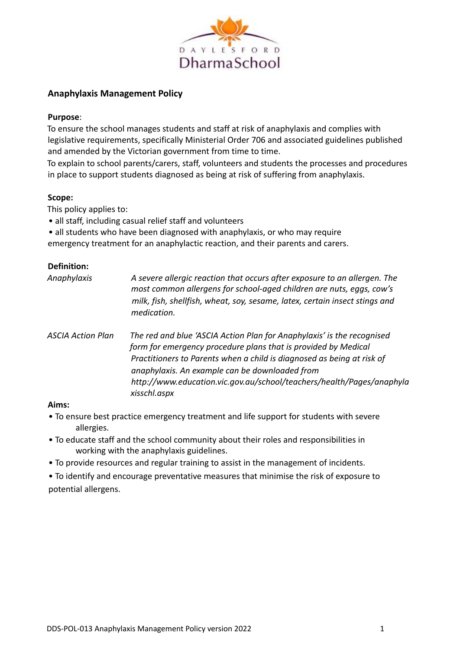

## **Anaphylaxis Management Policy**

## **Purpose**:

To ensure the school manages students and staff at risk of anaphylaxis and complies with legislative requirements, specifically Ministerial Order 706 and associated guidelines published and amended by the Victorian government from time to time.

To explain to school parents/carers, staff, volunteers and students the processes and procedures in place to support students diagnosed as being at risk of suffering from anaphylaxis.

## **Scope:**

This policy applies to:

• all staff, including casual relief staff and volunteers

• all students who have been diagnosed with anaphylaxis, or who may require

emergency treatment for an anaphylactic reaction, and their parents and carers.

## **Definition:**

| A severe allergic reaction that occurs after exposure to an allergen. The<br>most common allergens for school-aged children are nuts, eggs, cow's<br>milk, fish, shellfish, wheat, soy, sesame, latex, certain insect stings and<br>medication.                                                                                                               |
|---------------------------------------------------------------------------------------------------------------------------------------------------------------------------------------------------------------------------------------------------------------------------------------------------------------------------------------------------------------|
| The red and blue 'ASCIA Action Plan for Anaphylaxis' is the recognised<br>form for emergency procedure plans that is provided by Medical<br>Practitioners to Parents when a child is diagnosed as being at risk of<br>anaphylaxis. An example can be downloaded from<br>http://www.education.vic.gov.au/school/teachers/health/Pages/anaphyla<br>xisschl.aspx |
|                                                                                                                                                                                                                                                                                                                                                               |

#### **Aims:**

- To ensure best practice emergency treatment and life support for students with severe allergies.
- To educate staff and the school community about their roles and responsibilities in working with the anaphylaxis guidelines.
- To provide resources and regular training to assist in the management of incidents.

• To identify and encourage preventative measures that minimise the risk of exposure to potential allergens.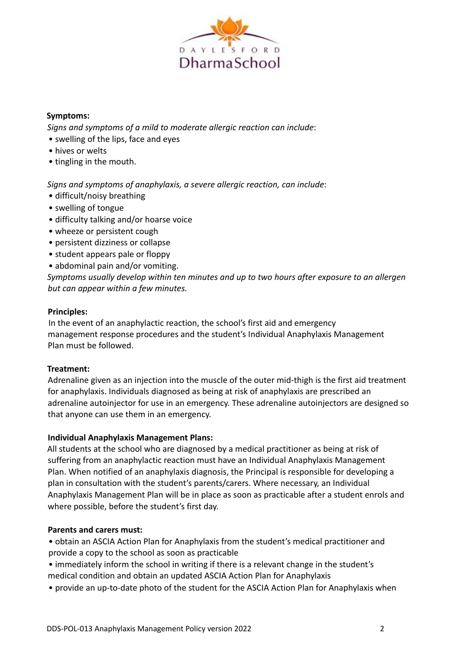

## **Symptoms:**

*Signs and symptoms of a mild to moderate allergic reaction can include*:

- swelling of the lips, face and eyes
- hives or welts
- tingling in the mouth.

*Signs and symptoms of anaphylaxis, a severe allergic reaction, can include*:

- difficult/noisy breathing
- swelling of tongue
- difficulty talking and/or hoarse voice
- wheeze or persistent cough
- persistent dizziness or collapse
- student appears pale or floppy
- abdominal pain and/or vomiting.

*Symptoms usually develop within ten minutes and up to two hours after exposure to an allergen but can appear within a few minutes.*

#### **Principles:**

In the event of an anaphylactic reaction, the school's first aid and emergency management response procedures and the student's Individual Anaphylaxis Management Plan must be followed.

#### **Treatment:**

Adrenaline given as an injection into the muscle of the outer mid-thigh is the first aid treatment for anaphylaxis. Individuals diagnosed as being at risk of anaphylaxis are prescribed an adrenaline autoinjector for use in an emergency. These adrenaline autoinjectors are designed so that anyone can use them in an emergency.

#### **Individual Anaphylaxis Management Plans:**

All students at the school who are diagnosed by a medical practitioner as being at risk of suffering from an anaphylactic reaction must have an Individual Anaphylaxis Management Plan. When notified of an anaphylaxis diagnosis, the Principal is responsible for developing a plan in consultation with the student's parents/carers. Where necessary, an Individual Anaphylaxis Management Plan will be in place as soon as practicable after a student enrols and where possible, before the student's first day.

#### **Parents and carers must:**

• obtain an ASCIA Action Plan for Anaphylaxis from the student's medical practitioner and provide a copy to the school as soon as practicable

- immediately inform the school in writing if there is a relevant change in the student's medical condition and obtain an updated ASCIA Action Plan for Anaphylaxis
- provide an up-to-date photo of the student for the ASCIA Action Plan for Anaphylaxis when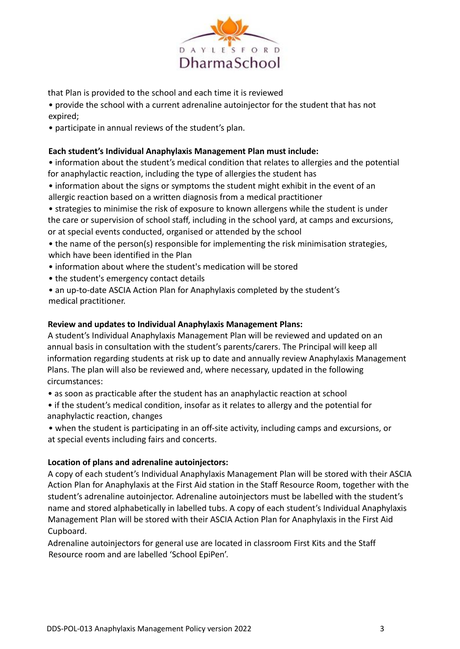

that Plan is provided to the school and each time it is reviewed

• provide the school with a current adrenaline autoinjector for the student that has not expired;

• participate in annual reviews of the student's plan.

## **Each student's Individual Anaphylaxis Management Plan must include:**

• information about the student's medical condition that relates to allergies and the potential for anaphylactic reaction, including the type of allergies the student has

• information about the signs or symptoms the student might exhibit in the event of an allergic reaction based on a written diagnosis from a medical practitioner

• strategies to minimise the risk of exposure to known allergens while the student is under the care or supervision of school staff, including in the school yard, at camps and excursions, or at special events conducted, organised or attended by the school

• the name of the person(s) responsible for implementing the risk minimisation strategies, which have been identified in the Plan

- information about where the student's medication will be stored
- the student's emergency contact details

• an up-to-date ASCIA Action Plan for Anaphylaxis completed by the student's medical practitioner.

## **Review and updates to Individual Anaphylaxis Management Plans:**

A student's Individual Anaphylaxis Management Plan will be reviewed and updated on an annual basis in consultation with the student's parents/carers. The Principal will keep all information regarding students at risk up to date and annually review Anaphylaxis Management Plans. The plan will also be reviewed and, where necessary, updated in the following circumstances:

• as soon as practicable after the student has an anaphylactic reaction at school

• if the student's medical condition, insofar as it relates to allergy and the potential for anaphylactic reaction, changes

• when the student is participating in an off-site activity, including camps and excursions, or at special events including fairs and concerts.

#### **Location of plans and adrenaline autoinjectors:**

A copy of each student's Individual Anaphylaxis Management Plan will be stored with their ASCIA Action Plan for Anaphylaxis at the First Aid station in the Staff Resource Room, together with the student's adrenaline autoinjector. Adrenaline autoinjectors must be labelled with the student's name and stored alphabetically in labelled tubs. A copy of each student's Individual Anaphylaxis Management Plan will be stored with their ASCIA Action Plan for Anaphylaxis in the First Aid Cupboard.

Adrenaline autoinjectors for general use are located in classroom First Kits and the Staff Resource room and are labelled 'School EpiPen'.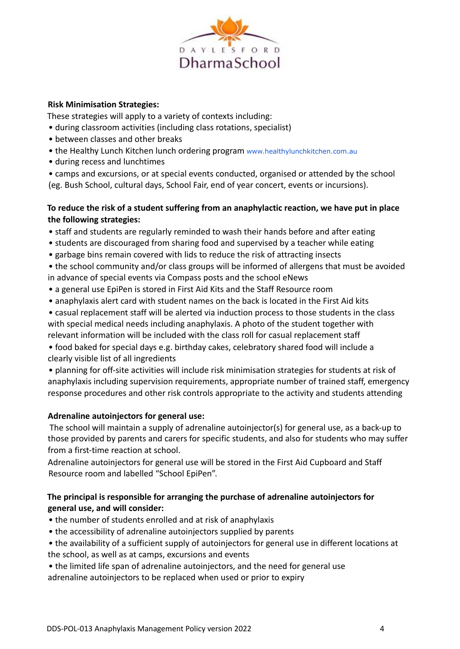

## **Risk Minimisation Strategies:**

These strategies will apply to a variety of contexts including:

- during classroom activities (including class rotations, specialist)
- between classes and other breaks
- the Healthy Lunch Kitchen lunch ordering program www.healthylunchkitchen.com.au
- during recess and lunchtimes
- camps and excursions, or at special events conducted, organised or attended by the school (eg. Bush School, cultural days, School Fair, end of year concert, events or incursions).

## **To reduce the risk of a student suffering from an anaphylactic reaction, we have put in place the following strategies:**

- staff and students are regularly reminded to wash their hands before and after eating
- students are discouraged from sharing food and supervised by a teacher while eating
- garbage bins remain covered with lids to reduce the risk of attracting insects
- the school community and/or class groups will be informed of allergens that must be avoided in advance of special events via Compass posts and the school eNews
- a general use EpiPen is stored in First Aid Kits and the Staff Resource room
- anaphylaxis alert card with student names on the back is located in the First Aid kits
- casual replacement staff will be alerted via induction process to those students in the class with special medical needs including anaphylaxis. A photo of the student together with relevant information will be included with the class roll for casual replacement staff

• food baked for special days e.g. birthday cakes, celebratory shared food will include a clearly visible list of all ingredients

• planning for off-site activities will include risk minimisation strategies for students at risk of anaphylaxis including supervision requirements, appropriate number of trained staff, emergency response procedures and other risk controls appropriate to the activity and students attending

## **Adrenaline autoinjectors for general use:**

The school will maintain a supply of adrenaline autoinjector(s) for general use, as a back-up to those provided by parents and carers for specific students, and also for students who may suffer from a first-time reaction at school.

Adrenaline autoinjectors for general use will be stored in the First Aid Cupboard and Staff Resource room and labelled "School EpiPen".

## **The principal is responsible for arranging the purchase of adrenaline autoinjectors for general use, and will consider:**

- the number of students enrolled and at risk of anaphylaxis
- the accessibility of adrenaline autoinjectors supplied by parents
- the availability of a sufficient supply of autoinjectors for general use in different locations at the school, as well as at camps, excursions and events
- the limited life span of adrenaline autoinjectors, and the need for general use

adrenaline autoinjectors to be replaced when used or prior to expiry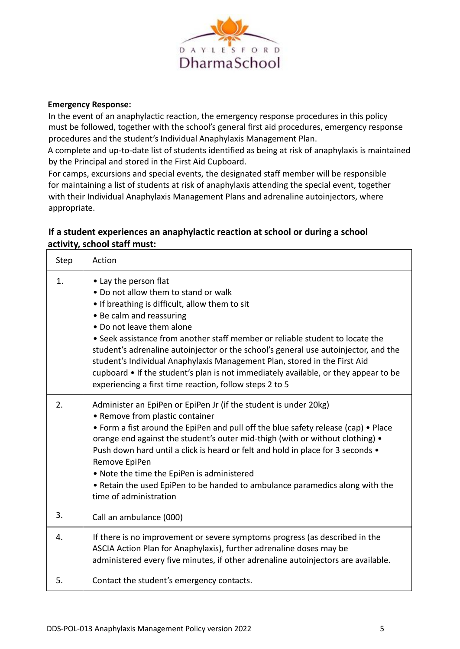

#### **Emergency Response:**

In the event of an anaphylactic reaction, the emergency response procedures in this policy must be followed, together with the school's general first aid procedures, emergency response procedures and the student's Individual Anaphylaxis Management Plan.

A complete and up-to-date list of students identified as being at risk of anaphylaxis is maintained by the Principal and stored in the First Aid Cupboard.

For camps, excursions and special events, the designated staff member will be responsible for maintaining a list of students at risk of anaphylaxis attending the special event, together with their Individual Anaphylaxis Management Plans and adrenaline autoinjectors, where appropriate.

# **If a student experiences an anaphylactic reaction at school or during a school activity, school staff must:**

| Step     | Action                                                                                                                                                                                                                                                                                                                                                                                                                                                                                                                                                                          |
|----------|---------------------------------------------------------------------------------------------------------------------------------------------------------------------------------------------------------------------------------------------------------------------------------------------------------------------------------------------------------------------------------------------------------------------------------------------------------------------------------------------------------------------------------------------------------------------------------|
| 1.       | • Lay the person flat<br>• Do not allow them to stand or walk<br>• If breathing is difficult, allow them to sit<br>• Be calm and reassuring<br>• Do not leave them alone<br>• Seek assistance from another staff member or reliable student to locate the<br>student's adrenaline autoinjector or the school's general use autoinjector, and the<br>student's Individual Anaphylaxis Management Plan, stored in the First Aid<br>cupboard • If the student's plan is not immediately available, or they appear to be<br>experiencing a first time reaction, follow steps 2 to 5 |
| 2.<br>3. | Administer an EpiPen or EpiPen Jr (if the student is under 20kg)<br>• Remove from plastic container<br>• Form a fist around the EpiPen and pull off the blue safety release (cap) • Place<br>orange end against the student's outer mid-thigh (with or without clothing) •<br>Push down hard until a click is heard or felt and hold in place for 3 seconds .<br>Remove EpiPen<br>• Note the time the EpiPen is administered<br>• Retain the used EpiPen to be handed to ambulance paramedics along with the<br>time of administration<br>Call an ambulance (000)               |
| 4.       | If there is no improvement or severe symptoms progress (as described in the<br>ASCIA Action Plan for Anaphylaxis), further adrenaline doses may be<br>administered every five minutes, if other adrenaline autoinjectors are available.                                                                                                                                                                                                                                                                                                                                         |
| 5.       | Contact the student's emergency contacts.                                                                                                                                                                                                                                                                                                                                                                                                                                                                                                                                       |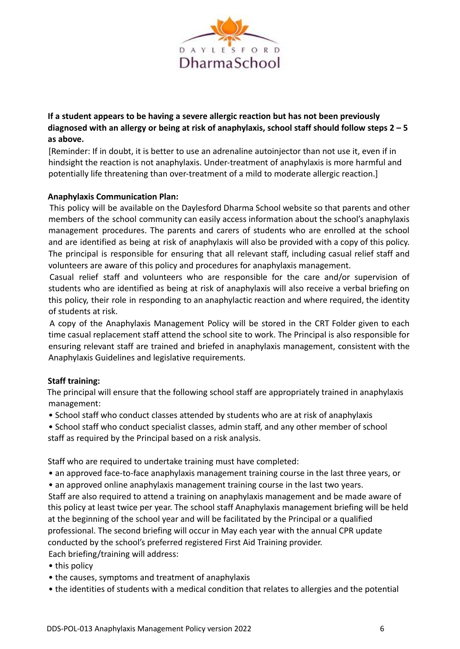

**If a student appears to be having a severe allergic reaction but has not been previously diagnosed with an allergy or being at risk of anaphylaxis, school staff should follow steps 2 – 5 as above.**

[Reminder: If in doubt, it is better to use an adrenaline autoinjector than not use it, even if in hindsight the reaction is not anaphylaxis. Under-treatment of anaphylaxis is more harmful and potentially life threatening than over-treatment of a mild to moderate allergic reaction.]

## **Anaphylaxis Communication Plan:**

This policy will be available on the Daylesford Dharma School website so that parents and other members of the school community can easily access information about the school's anaphylaxis management procedures. The parents and carers of students who are enrolled at the school and are identified as being at risk of anaphylaxis will also be provided with a copy of this policy. The principal is responsible for ensuring that all relevant staff, including casual relief staff and volunteers are aware of this policy and procedures for anaphylaxis management.

Casual relief staff and volunteers who are responsible for the care and/or supervision of students who are identified as being at risk of anaphylaxis will also receive a verbal briefing on this policy, their role in responding to an anaphylactic reaction and where required, the identity of students at risk.

A copy of the Anaphylaxis Management Policy will be stored in the CRT Folder given to each time casual replacement staff attend the school site to work. The Principal is also responsible for ensuring relevant staff are trained and briefed in anaphylaxis management, consistent with the Anaphylaxis Guidelines and legislative requirements.

## **Staff training:**

The principal will ensure that the following school staff are appropriately trained in anaphylaxis management:

- School staff who conduct classes attended by students who are at risk of anaphylaxis
- School staff who conduct specialist classes, admin staff, and any other member of school staff as required by the Principal based on a risk analysis.

Staff who are required to undertake training must have completed:

- an approved face-to-face anaphylaxis management training course in the last three years, or
- an approved online anaphylaxis management training course in the last two years.

Staff are also required to attend a training on anaphylaxis management and be made aware of this policy at least twice per year. The school staff Anaphylaxis management briefing will be held at the beginning of the school year and will be facilitated by the Principal or a qualified professional. The second briefing will occur in May each year with the annual CPR update conducted by the school's preferred registered First Aid Training provider.

- Each briefing/training will address:
- this policy
- the causes, symptoms and treatment of anaphylaxis
- the identities of students with a medical condition that relates to allergies and the potential